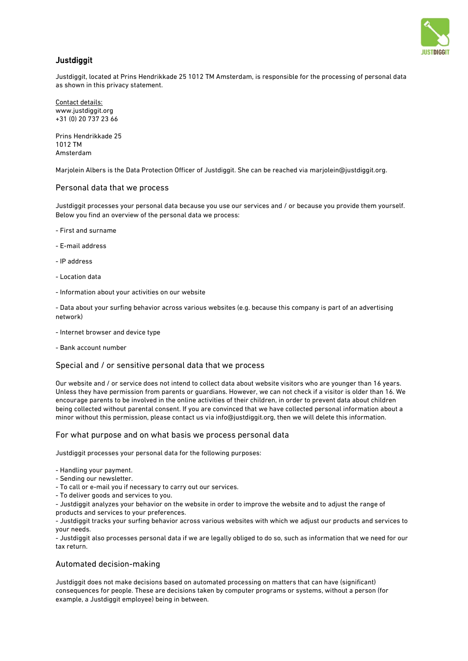

# **Justdiggit**

Justdiggit, located at Prins Hendrikkade 25 1012 TM Amsterdam, is responsible for the processing of personal data as shown in this privacy statement.

Contact details: www.justdiggit.org +31 (0) 20 737 23 66

Prins Hendrikkade 25 1012 TM Amsterdam

Marjolein Albers is the Data Protection Officer of Justdiggit. She can be reached via [marjolein@justdiggit.org.](mailto:marjolein@justdiggit.org)

#### Personal data that we process

Justdiggit processes your personal data because you use our services and / or because you provide them yourself. Below you find an overview of the personal data we process:

- First and surname
- E-mail address
- IP address
- Location data
- Information about your activities on our website

- Data about your surfing behavior across various websites (e.g. because this company is part of an advertising network)

- Internet browser and device type
- Bank account number

## Special and / or sensitive personal data that we process

Our website and / or service does not intend to collect data about website visitors who are younger than 16 years. Unless they have permission from parents or guardians. However, we can not check if a visitor is older than 16. We encourage parents to be involved in the online activities of their children, in order to prevent data about children being collected without parental consent. If you are convinced that we have collected personal information about a minor without this permission, please contact us via info@justdiggit.org, then we will delete this information.

#### For what purpose and on what basis we process personal data

Justdiggit processes your personal data for the following purposes:

- Handling your payment.
- Sending our newsletter.
- To call or e-mail you if necessary to carry out our services.
- To deliver goods and services to you.

- Justdiggit analyzes your behavior on the website in order to improve the website and to adjust the range of products and services to your preferences.

- Justdiggit tracks your surfing behavior across various websites with which we adjust our products and services to your needs.

- Justdiggit also processes personal data if we are legally obliged to do so, such as information that we need for our tax return.

## Automated decision-making

Justdiggit does not make decisions based on automated processing on matters that can have (significant) consequences for people. These are decisions taken by computer programs or systems, without a person (for example, a Justdiggit employee) being in between.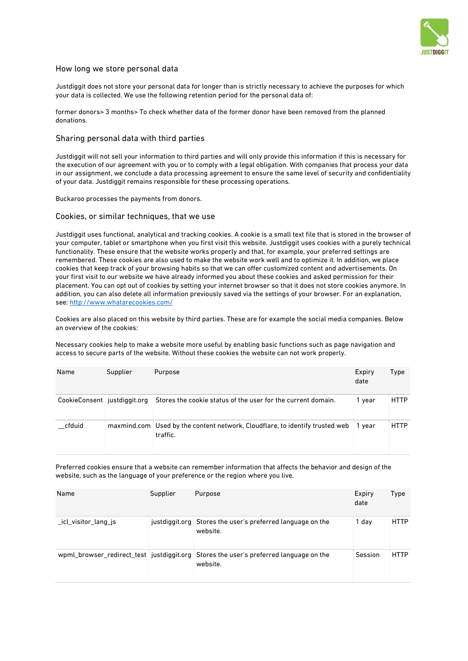

## How long we store personal data

Justdiggit does not store your personal data for longer than is strictly necessary to achieve the purposes for which your data is collected. We use the following retention period for the personal data of:

former donors> 3 months> To check whether data of the former donor have been removed from the planned donations.

#### Sharing personal data with third parties

Justdiggit will not sell your information to third parties and will only provide this information if this is necessary for the execution of our agreement with you or to comply with a legal obligation. With companies that process your data in our assignment, we conclude a data processing agreement to ensure the same level of security and confidentiality of your data. Justdiggit remains responsible for these processing operations.

Buckaroo processes the payments from donors.

#### Cookies, or similar techniques, that we use

Justdiggit uses functional, analytical and tracking cookies. A cookie is a small text file that is stored in the browser of your computer, tablet or smartphone when you first visit this website. Justdiggit uses cookies with a purely technical functionality. These ensure that the website works properly and that, for example, your preferred settings are remembered. These cookies are also used to make the website work well and to optimize it. In addition, we place cookies that keep track of your browsing habits so that we can offer customized content and advertisements. On your first visit to our website we have already informed you about these cookies and asked permission for their placement. You can opt out of cookies by setting your internet browser so that it does not store cookies anymore. In addition, you can also delete all information previously saved via the settings of your browser. For an explanation, see:<http://www.whatarecookies.com/>

Cookies are also placed on this website by third parties. These are for example the social media companies. Below an overview of the cookies:

Necessary cookies help to make a website more useful by enabling basic functions such as page navigation and access to secure parts of the website. Without these cookies the website can not work properly.

| Name                         | Supplier | Purpose                                                                                  | Expiry<br>date | Type        |
|------------------------------|----------|------------------------------------------------------------------------------------------|----------------|-------------|
| CookieConsent justdiggit.org |          | Stores the cookie status of the user for the current domain.                             | 1 year         | <b>HTTP</b> |
| cfduid                       |          | maxmind.com Used by the content network, Cloudflare, to identify trusted web<br>traffic. | vear           | <b>HTTP</b> |

Preferred cookies ensure that a website can remember information that affects the behavior and design of the website, such as the language of your preference or the region where you live.

| Name                | Supplier | Purpose                                                                                           | Expiry<br>date | Type        |
|---------------------|----------|---------------------------------------------------------------------------------------------------|----------------|-------------|
| icl visitor lang js |          | justdiggit.org Stores the user's preferred language on the<br>website.                            | 1 day          | <b>HTTP</b> |
|                     |          | wpml_browser_redirect_test_justdiggit.org_Stores the user's preferred language on the<br>website. | Session        | <b>HTTP</b> |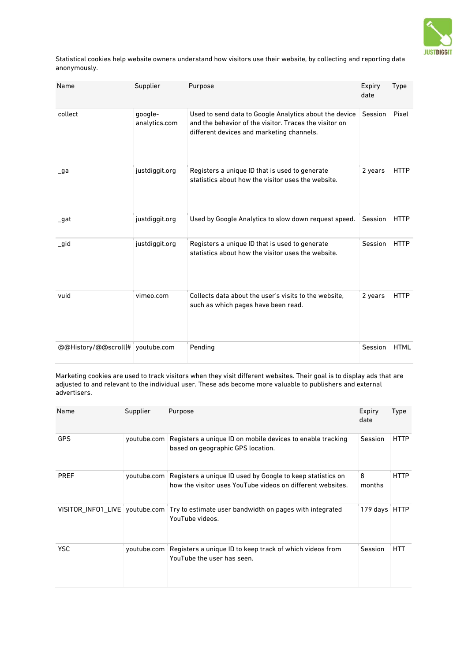

Statistical cookies help website owners understand how visitors use their website, by collecting and reporting data anonymously.

| Name                             | Supplier                 | Purpose                                                                                                                                                       | Expiry<br>date | Type        |
|----------------------------------|--------------------------|---------------------------------------------------------------------------------------------------------------------------------------------------------------|----------------|-------------|
| collect                          | google-<br>analytics.com | Used to send data to Google Analytics about the device<br>and the behavior of the visitor. Traces the visitor on<br>different devices and marketing channels. | Session        | Pixel       |
| $\overline{\phantom{a}}$ ga      | justdiggit.org           | Registers a unique ID that is used to generate<br>statistics about how the visitor uses the website.                                                          | 2 years        | <b>HTTP</b> |
| _gat                             | justdiggit.org           | Used by Google Analytics to slow down request speed.                                                                                                          | Session        | <b>HTTP</b> |
| _gid                             | justdiggit.org           | Registers a unique ID that is used to generate<br>statistics about how the visitor uses the website.                                                          | Session        | <b>HTTP</b> |
| vuid                             | vimeo.com                | Collects data about the user's visits to the website.<br>such as which pages have been read.                                                                  | 2 years        | <b>HTTP</b> |
| @@History/@@scroll # youtube.com |                          | Pending                                                                                                                                                       | Session        | <b>HTML</b> |

Marketing cookies are used to track visitors when they visit different websites. Their goal is to display ads that are adjusted to and relevant to the individual user. These ads become more valuable to publishers and external advertisers.

| Name        | Supplier    | Purpose                                                                                                                  | Expiry<br>date | Type        |
|-------------|-------------|--------------------------------------------------------------------------------------------------------------------------|----------------|-------------|
| <b>GPS</b>  | youtube.com | Registers a unique ID on mobile devices to enable tracking<br>based on geographic GPS location.                          | Session        | <b>HTTP</b> |
| <b>PREF</b> | youtube.com | Registers a unique ID used by Google to keep statistics on<br>how the visitor uses YouTube videos on different websites. | 8<br>months    | HTTP        |
|             |             | VISITOR INFO1 LIVE youtube.com Try to estimate user bandwidth on pages with integrated<br>YouTube videos.                | 179 days HTTP  |             |
| <b>YSC</b>  | youtube.com | Registers a unique ID to keep track of which videos from<br>YouTube the user has seen.                                   | Session        | HTT         |